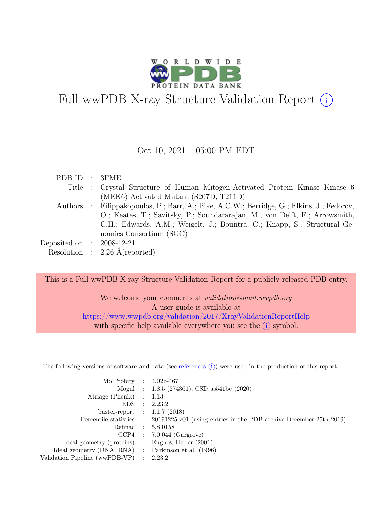

# Full wwPDB X-ray Structure Validation Report  $(i)$

#### Oct 10, 2021 – 05:00 PM EDT

| PDB ID : 3FME               |                                                                                           |
|-----------------------------|-------------------------------------------------------------------------------------------|
|                             | Title : Crystal Structure of Human Mitogen-Activated Protein Kinase Kinase 6              |
|                             | (MEK6) Activated Mutant (S207D, T211D)                                                    |
|                             | Authors : Filippakopoulos, P.; Barr, A.; Pike, A.C.W.; Berridge, G.; Elkins, J.; Fedorov, |
|                             | O.; Keates, T.; Savitsky, P.; Soundararajan, M.; von Delft, F.; Arrowsmith,               |
|                             | C.H.; Edwards, A.M.; Weigelt, J.; Bountra, C.; Knapp, S.; Structural Ge-                  |
|                             | nomics Consortium (SGC)                                                                   |
| Deposited on : $2008-12-21$ |                                                                                           |
|                             | Resolution : $2.26$ Å(reported)                                                           |

This is a Full wwPDB X-ray Structure Validation Report for a publicly released PDB entry.

We welcome your comments at validation@mail.wwpdb.org A user guide is available at <https://www.wwpdb.org/validation/2017/XrayValidationReportHelp> with specific help available everywhere you see the  $(i)$  symbol.

The following versions of software and data (see [references](https://www.wwpdb.org/validation/2017/XrayValidationReportHelp#references)  $(i)$ ) were used in the production of this report:

| MolProbity : $4.02b-467$                            |                                                                                            |
|-----------------------------------------------------|--------------------------------------------------------------------------------------------|
|                                                     | Mogul : 1.8.5 (274361), CSD as541be (2020)                                                 |
| $Xtriangle (Phenix)$ : 1.13                         |                                                                                            |
|                                                     | EDS : 2.23.2                                                                               |
| buster-report : $1.1.7$ (2018)                      |                                                                                            |
|                                                     | Percentile statistics : 20191225.v01 (using entries in the PDB archive December 25th 2019) |
|                                                     | Refmac : 5.8.0158                                                                          |
|                                                     | $CCP4$ : 7.0.044 (Gargrove)                                                                |
| Ideal geometry (proteins) : Engh $\&$ Huber (2001)  |                                                                                            |
| Ideal geometry (DNA, RNA) : Parkinson et al. (1996) |                                                                                            |
| Validation Pipeline (wwPDB-VP) : 2.23.2             |                                                                                            |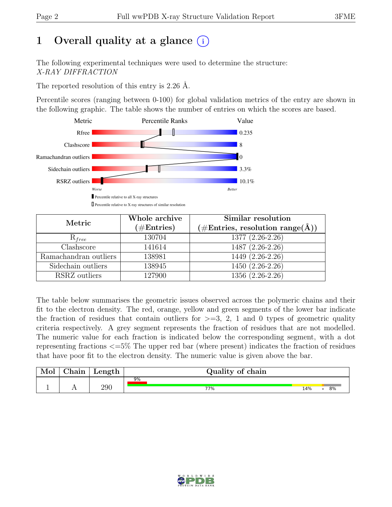# 1 Overall quality at a glance  $(i)$

The following experimental techniques were used to determine the structure: X-RAY DIFFRACTION

The reported resolution of this entry is 2.26 Å.

Percentile scores (ranging between 0-100) for global validation metrics of the entry are shown in the following graphic. The table shows the number of entries on which the scores are based.



| Metric                    | Whole archive<br>$(\#Entries)$ | Similar resolution<br>$(\# \text{Entries}, \text{ resolution } \text{range}(\AA))$ |
|---------------------------|--------------------------------|------------------------------------------------------------------------------------|
| $R_{free}$                | 130704                         | 1377 (2.26-2.26)                                                                   |
| $\overline{\text{Class}}$ | 141614                         | $1487(2.26-2.26)$                                                                  |
| Ramachandran outliers     | 138981                         | 1449 (2.26-2.26)                                                                   |
| Sidechain outliers        | 138945                         | $1450(2.26-2.26)$                                                                  |
| RSRZ outliers             | 127900                         | 1356 (2.26-2.26)                                                                   |

The table below summarises the geometric issues observed across the polymeric chains and their fit to the electron density. The red, orange, yellow and green segments of the lower bar indicate the fraction of residues that contain outliers for  $\geq$ =3, 2, 1 and 0 types of geometric quality criteria respectively. A grey segment represents the fraction of residues that are not modelled. The numeric value for each fraction is indicated below the corresponding segment, with a dot representing fractions <=5% The upper red bar (where present) indicates the fraction of residues that have poor fit to the electron density. The numeric value is given above the bar.

| Mol | $\sim$ $\sim$<br>hain! | Length | Quality of chain |           |
|-----|------------------------|--------|------------------|-----------|
|     |                        |        | 9%               |           |
|     | . .                    | 290    | 77%              | 8%<br>14% |

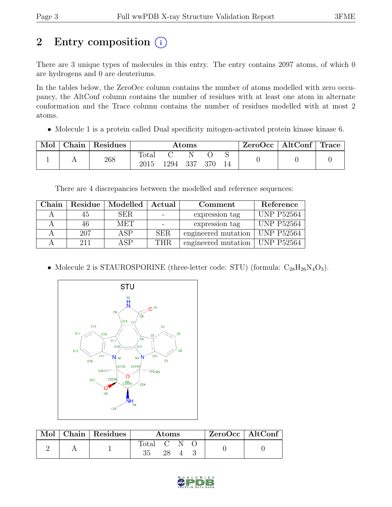# 2 Entry composition  $(i)$

There are 3 unique types of molecules in this entry. The entry contains 2097 atoms, of which 0 are hydrogens and 0 are deuteriums.

In the tables below, the ZeroOcc column contains the number of atoms modelled with zero occupancy, the AltConf column contains the number of residues with at least one atom in alternate conformation and the Trace column contains the number of residues modelled with at most 2 atoms.

• Molecule 1 is a protein called Dual specificity mitogen-activated protein kinase kinase 6.

| Mol | Chain | Residues | $\rm{Atoms}$ |          |   |     | $\mid$ ZeroOcc   AltConf   Trace |  |  |
|-----|-------|----------|--------------|----------|---|-----|----------------------------------|--|--|
|     |       | 268      | Total        | 1294 337 | N | 370 |                                  |  |  |

There are 4 discrepancies between the modelled and reference sequences:

| Chain |     | Residue   Modelled   Actual |            | Comment                          | Reference          |
|-------|-----|-----------------------------|------------|----------------------------------|--------------------|
|       | 45  | SER.                        |            | expression tag                   | <b>UNP P52564</b>  |
|       | 46  | MET                         |            | expression tag                   | <b>UNP P52564</b>  |
|       | 207 | ASP                         | <b>SER</b> | engineered mutation              | $\vert$ UNP P52564 |
|       | 211 | ASP                         | THR.       | engineered mutation   UNP P52564 |                    |

• Molecule 2 is STAUROSPORINE (three-letter code: STU) (formula:  $C_{28}H_{26}N_4O_3$ ).



| Mol | Chain Residues | Atoms     |  |  |  | ZeroOcc   AltConf |
|-----|----------------|-----------|--|--|--|-------------------|
|     |                | Total C N |  |  |  |                   |

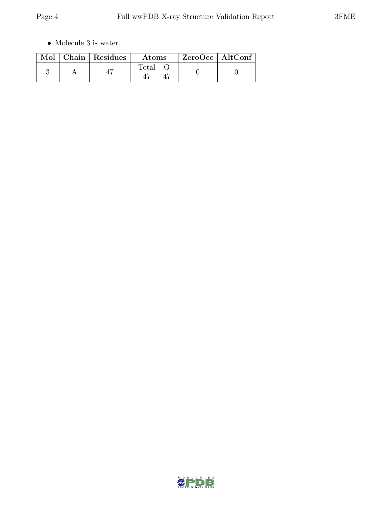$\bullet\,$  Molecule 3 is water.

|  | Mol   Chain   Residues | $\boldsymbol{\mathrm{Atoms}}$ | ZeroOcc   AltConf |  |
|--|------------------------|-------------------------------|-------------------|--|
|  |                        | $\text{Total}$                |                   |  |

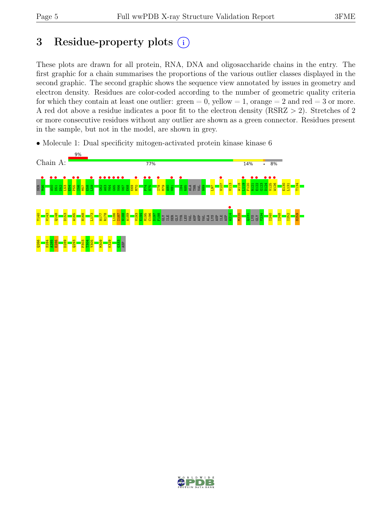## 3 Residue-property plots (i)

These plots are drawn for all protein, RNA, DNA and oligosaccharide chains in the entry. The first graphic for a chain summarises the proportions of the various outlier classes displayed in the second graphic. The second graphic shows the sequence view annotated by issues in geometry and electron density. Residues are color-coded according to the number of geometric quality criteria for which they contain at least one outlier:  $green = 0$ , yellow  $= 1$ , orange  $= 2$  and red  $= 3$  or more. A red dot above a residue indicates a poor fit to the electron density (RSRZ > 2). Stretches of 2 or more consecutive residues without any outlier are shown as a green connector. Residues present in the sample, but not in the model, are shown in grey.

• Molecule 1: Dual specificity mitogen-activated protein kinase kinase 6



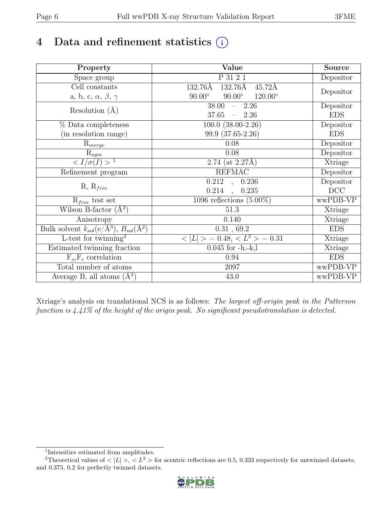# 4 Data and refinement statistics  $(i)$

| Property                                                                          | Value                                            | Source     |
|-----------------------------------------------------------------------------------|--------------------------------------------------|------------|
| Space group                                                                       | P 31 2 1                                         | Depositor  |
| Cell constants                                                                    | 132.76Å<br>132.76Å<br>$45.72\text{\AA}$          |            |
| a, b, c, $\alpha$ , $\beta$ , $\gamma$                                            | $90.00^\circ$<br>$120.00^\circ$<br>$90.00^\circ$ | Depositor  |
| Resolution $(A)$                                                                  | 38.00<br>$-2.26$                                 | Depositor  |
|                                                                                   | 37.65<br>$-2.26$                                 | <b>EDS</b> |
| % Data completeness                                                               | $100.0$ $(38.00-2.26)$                           | Depositor  |
| (in resolution range)                                                             | 99.9 (37.65-2.26)                                | <b>EDS</b> |
| $R_{merge}$                                                                       | $0.08\,$                                         | Depositor  |
| $\mathrm{R}_{sym}$                                                                | 0.08                                             | Depositor  |
| $\sqrt{I/\sigma}(I) > 1$                                                          | 2.74 (at $2.27\text{\AA}$ )                      | Xtriage    |
| Refinement program                                                                | <b>REFMAC</b>                                    | Depositor  |
|                                                                                   | $\overline{0.212}$ ,<br>0.236                    | Depositor  |
| $R, R_{free}$                                                                     | 0.214<br>0.235<br>$\ddot{\phantom{a}}$           | DCC        |
| $R_{free}$ test set                                                               | 1096 reflections $(5.00\%)$                      | wwPDB-VP   |
| Wilson B-factor $(A^2)$                                                           | 51.3                                             | Xtriage    |
| Anisotropy                                                                        | 0.140                                            | Xtriage    |
| Bulk solvent $k_{sol}(\mathrm{e}/\mathrm{A}^3), \overline{B_{sol}(\mathrm{A}^2)}$ | 0.31, 69.2                                       | <b>EDS</b> |
| L-test for twinning <sup>2</sup>                                                  | $< L >$ = 0.48, $< L2$ > = 0.31                  | Xtriage    |
| Estimated twinning fraction                                                       | $0.045$ for $-h,-k,l$                            | Xtriage    |
| $F_o, F_c$ correlation                                                            | 0.94                                             | <b>EDS</b> |
| Total number of atoms                                                             | 2097                                             | wwPDB-VP   |
| Average B, all atoms $(A^2)$                                                      | 43.0                                             | wwPDB-VP   |

Xtriage's analysis on translational NCS is as follows: The largest off-origin peak in the Patterson function is 4.41% of the height of the origin peak. No significant pseudotranslation is detected.

<sup>&</sup>lt;sup>2</sup>Theoretical values of  $\langle |L| \rangle$ ,  $\langle L^2 \rangle$  for acentric reflections are 0.5, 0.333 respectively for untwinned datasets, and 0.375, 0.2 for perfectly twinned datasets.



<span id="page-5-1"></span><span id="page-5-0"></span><sup>1</sup> Intensities estimated from amplitudes.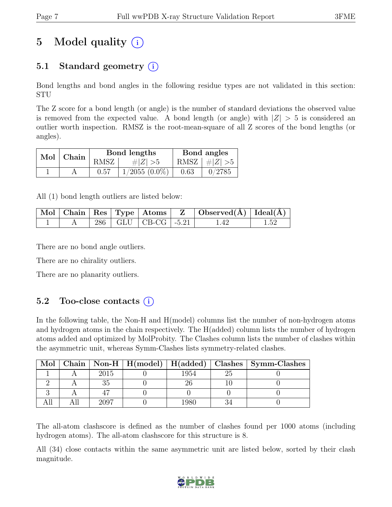# 5 Model quality  $(i)$

### 5.1 Standard geometry  $(i)$

Bond lengths and bond angles in the following residue types are not validated in this section: STU

The Z score for a bond length (or angle) is the number of standard deviations the observed value is removed from the expected value. A bond length (or angle) with  $|Z| > 5$  is considered an outlier worth inspection. RMSZ is the root-mean-square of all Z scores of the bond lengths (or angles).

| $Mol$   Chain |      | Bond lengths       | Bond angles |                 |  |
|---------------|------|--------------------|-------------|-----------------|--|
|               | RMSZ | # $ Z  > 5$        |             | RMSZ $ #Z  > 5$ |  |
|               | 0.57 | $1/2055$ $(0.0\%)$ | 0.63        | 0/2785          |  |

All (1) bond length outliers are listed below:

|  |  |                             | $\mid$ Mol $\mid$ Chain $\mid$ Res $\mid$ Type $\mid$ Atoms $\mid$ $\mid$ $\mid$ $\mid$ Observed(Å) $\mid$ Ideal(Å) $\mid$ |      |
|--|--|-----------------------------|----------------------------------------------------------------------------------------------------------------------------|------|
|  |  | $286$   GLU   CB-CG   -5.21 | L 42                                                                                                                       | 1.52 |

There are no bond angle outliers.

There are no chirality outliers.

There are no planarity outliers.

#### 5.2 Too-close contacts  $(i)$

In the following table, the Non-H and H(model) columns list the number of non-hydrogen atoms and hydrogen atoms in the chain respectively. The H(added) column lists the number of hydrogen atoms added and optimized by MolProbity. The Clashes column lists the number of clashes within the asymmetric unit, whereas Symm-Clashes lists symmetry-related clashes.

| Mol |      |      | Chain   Non-H   H(model)   H(added)   Clashes   Symm-Clashes |
|-----|------|------|--------------------------------------------------------------|
|     | 2015 | 1954 |                                                              |
|     |      |      |                                                              |
|     |      |      |                                                              |
|     | 2007 |      |                                                              |

The all-atom clashscore is defined as the number of clashes found per 1000 atoms (including hydrogen atoms). The all-atom clashscore for this structure is 8.

All (34) close contacts within the same asymmetric unit are listed below, sorted by their clash magnitude.

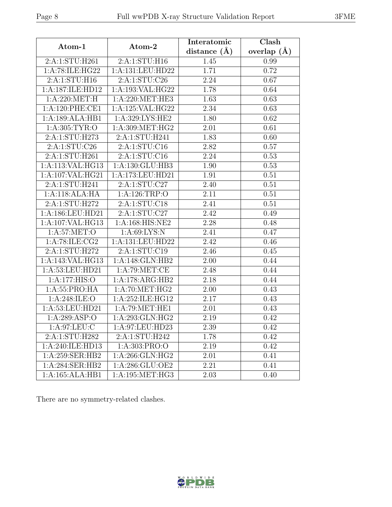| Atom-1           | Atom-2             | Interatomic    | Clash         |
|------------------|--------------------|----------------|---------------|
|                  |                    | distance $(A)$ | overlap $(A)$ |
| 2:A:1:STU:H261   | 2:A:1:STU:H16      | 1.45           | 0.99          |
| 1:A:78:ILE:HG22  | 1:A:131:LEU:HD22   | 1.71           | 0.72          |
| 2:A:1:STU:H16    | 2:A:1:STU:C26      | 2.24           | 0.67          |
| 1:A:187:ILE:HD12 | 1:A:193:VAL:HG22   | 1.78           | 0.64          |
| 1: A:220: MET:H  | 1: A:220: MET:HE3  | 1.63           | 0.63          |
| 1:A:120:PHE:CE1  | 1:A:125:VAL:HG22   | 2.34           | 0.63          |
| 1:A:189:ALA:HB1  | 1:A:329:LYS:HE2    | 1.80           | 0.62          |
| 1: A:305: TYR:O  | 1:A:309:MET:HG2    | 2.01           | 0.61          |
| 2:A:1:STU:H273   | 2:A:1:STU:H241     | 1.83           | 0.60          |
| 2:A:1:STU:C26    | 2:A:1:STU:Cl6      | 2.82           | 0.57          |
| 2:A:1:STU:H261   | 2:A:1:STU:Cl6      | 2.24           | 0.53          |
| 1:A:113:VAL:HG13 | 1:A:130:GLU:HB3    | 1.90           | 0.53          |
| 1:A:107:VAL:HG21 | 1:A:173:LEU:HD21   | 1.91           | 0.51          |
| 2:A:1:STU:H241   | 2:A:1:STU:C27      | 2.40           | 0.51          |
| 1:A:118:ALA:HA   | 1:A:126:TRP:O      | 2.11           | 0.51          |
| 2:A:1:STU:H272   | 2:A:1:STU:C18      | 2.41           | 0.51          |
| 1:A:186:LEU:HD21 | 2:A:1:STU:C27      | 2.42           | 0.49          |
| 1:A:107:VAL:HG13 | $1:$ A:168:HIS:NE2 | 2.28           | 0.48          |
| 1: A:57: MET:O   | 1:A:69:LYS:N       | 2.41           | 0.47          |
| 1:A:78:ILE:CG2   | 1:A:131:LEU:HD22   | 2.42           | 0.46          |
| 2:A:1:STU:H272   | 2:A:1:STU:C19      | 2.46           | 0.45          |
| 1:A:143:VAL:HG13 | 1:A:148:GLN:HB2    | 2.00           | 0.44          |
| 1:A:53:LEU:HD21  | 1:A:79:MET:CE      | 2.48           | 0.44          |
| 1:A:177:HIS:O    | 1:A:178:ARG:HB2    | 2.18           | 0.44          |
| 1: A:55: PRO:HA  | 1: A:70: MET:HG2   | 2.00           | 0.43          |
| 1: A:248: ILE: O | 1:A:252:ILE:HG12   | 2.17           | 0.43          |
| 1: A:53:LEU:HD21 | 1: A:79:MET:HE1    | 2.01           | 0.43          |
| 1: A:289: ASP:O  | 1:A:293:GLN:HG2    | 2.19           | 0.42          |
| 1: A:97:LEU: C   | 1:A:97:LEU:HD23    | 2.39           | 0.42          |
| 2:A:1:STU:H282   | 2:A:1:STU:H242     | 1.78           | 0.42          |
| 1:A:240:ILE:HD13 | 1:A:303:PRO:O      | 2.19           | 0.42          |
| 1:A:259:SER:HB2  | 1: A:266: GLN: HG2 | 2.01           | 0.41          |
| 1:A:284:SER:HB2  | 1:A:286:GLU:OE2    | 2.21           | 0.41          |
| 1:A:165:ALA:HB1  | 1: A:195:MET:HG3   | $2.03\,$       | 0.40          |

There are no symmetry-related clashes.



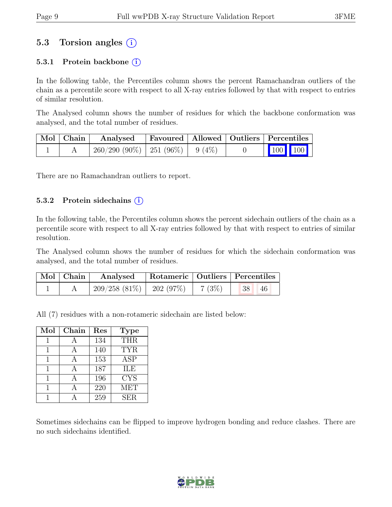### 5.3 Torsion angles (i)

#### 5.3.1 Protein backbone  $(i)$

In the following table, the Percentiles column shows the percent Ramachandran outliers of the chain as a percentile score with respect to all X-ray entries followed by that with respect to entries of similar resolution.

The Analysed column shows the number of residues for which the backbone conformation was analysed, and the total number of residues.

| $\vert$ Mol $\vert$ Chain $\vert$ | Analysed                               |  | Favoured   Allowed   Outliers   Percentiles                                                                                                                                    |  |
|-----------------------------------|----------------------------------------|--|--------------------------------------------------------------------------------------------------------------------------------------------------------------------------------|--|
|                                   | $260/290(90\%)$   251 (96\%)   9 (4\%) |  | $\begin{array}{ c c c c c }\n\hline\n\multicolumn{1}{ c }{\hspace{1.2cm}100} & \multicolumn{1}{ c }{\hspace{1.2cm}100} & \multicolumn{1}{ c }{\hspace{1.2cm}100}\n\end{array}$ |  |

There are no Ramachandran outliers to report.

#### 5.3.2 Protein side chains  $(i)$

In the following table, the Percentiles column shows the percent sidechain outliers of the chain as a percentile score with respect to all X-ray entries followed by that with respect to entries of similar resolution.

The Analysed column shows the number of residues for which the sidechain conformation was analysed, and the total number of residues.

| $\vert$ Mol $\vert$ Chain $\vert$ | Analysed                                                         |  | Rotameric   Outliers   Percentiles |  |
|-----------------------------------|------------------------------------------------------------------|--|------------------------------------|--|
|                                   | $\mid 209/258 \; (81\%) \mid 202 \; (97\%) \mid 7 \; (3\%) \mid$ |  | 38 46                              |  |

All (7) residues with a non-rotameric sidechain are listed below:

| Mol | Chain | Res | <b>Type</b> |
|-----|-------|-----|-------------|
|     |       | 134 | <b>THR</b>  |
|     |       | 140 | <b>TYR</b>  |
|     | А     | 153 | <b>ASP</b>  |
|     |       | 187 | <b>ILE</b>  |
|     |       | 196 | <b>CYS</b>  |
|     |       | 220 | <b>MET</b>  |
|     |       | 259 | <b>SER</b>  |

Sometimes sidechains can be flipped to improve hydrogen bonding and reduce clashes. There are no such sidechains identified.

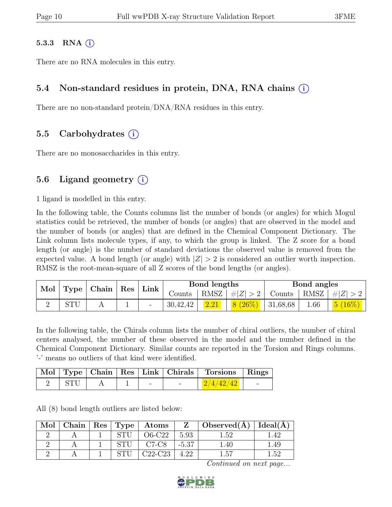#### 5.3.3 RNA  $(i)$

There are no RNA molecules in this entry.

#### 5.4 Non-standard residues in protein, DNA, RNA chains (i)

There are no non-standard protein/DNA/RNA residues in this entry.

#### 5.5 Carbohydrates (i)

There are no monosaccharides in this entry.

#### 5.6 Ligand geometry  $(i)$

1 ligand is modelled in this entry.

In the following table, the Counts columns list the number of bonds (or angles) for which Mogul statistics could be retrieved, the number of bonds (or angles) that are observed in the model and the number of bonds (or angles) that are defined in the Chemical Component Dictionary. The Link column lists molecule types, if any, to which the group is linked. The Z score for a bond length (or angle) is the number of standard deviations the observed value is removed from the expected value. A bond length (or angle) with  $|Z| > 2$  is considered an outlier worth inspection. RMSZ is the root-mean-square of all Z scores of the bond lengths (or angles).

| Mol | Type  | Chain   Res |  | Link     |      | Bond lengths |                          |      | Bond angles                                                       |  |
|-----|-------|-------------|--|----------|------|--------------|--------------------------|------|-------------------------------------------------------------------|--|
|     |       |             |  |          |      |              |                          |      | Counts   RMSZ $\mid \#  Z  > 2$   Counts   RMSZ $\mid \#  Z  > 2$ |  |
|     | C(TT) |             |  | 30,42,42 | 2.21 | $8(26\%)$    | $+31,68,68$ <sup>+</sup> | 1.66 | $\mid$ $5 \ (16\%) \ \mid$                                        |  |

In the following table, the Chirals column lists the number of chiral outliers, the number of chiral centers analysed, the number of these observed in the model and the number defined in the Chemical Component Dictionary. Similar counts are reported in the Torsion and Rings columns. '-' means no outliers of that kind were identified.

|     |  |        | Mol Type Chain Res Link Chirals Torsions Rings |  |
|-----|--|--------|------------------------------------------------|--|
| STU |  | $\sim$ | 2/4/42/42                                      |  |

All (8) bond length outliers are listed below:

| Mol | $\operatorname{\mathsf{Chain}}$ | Res   Type | $\rm{Atoms}$ |         | Observed(A)   | $\text{Ideal}(\AA)$ |
|-----|---------------------------------|------------|--------------|---------|---------------|---------------------|
|     |                                 |            | <b>C22</b>   | 5.93    | -59           |                     |
|     |                                 |            | $C7-C8$      | $-5.37$ | $^{\circ}.40$ | 1.49                |
|     |                                 |            | C22-C23      | 4.22    | 1.57          | 1 52                |

Continued on next page...

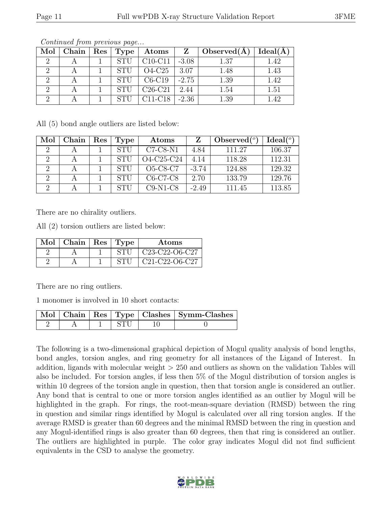| Mol | $C$ hain | $\operatorname{Res}$ | Type        | Atoms     | $\mathbf{Z}$ | Observed $(A)$ | Ideal(A) |
|-----|----------|----------------------|-------------|-----------|--------------|----------------|----------|
| റ   |          |                      | <b>STU</b>  | $C10-C11$ | $-3.08$      | 1.37           | 1.42     |
| ച   |          |                      | <b>STII</b> | $O4-C25$  | 3.07         | 1.48           | 1.43     |
| റ   |          |                      | <b>STU</b>  | $C6-C19$  | $-2.75$      | 1.39           | 1.42     |
| റ   |          |                      | <b>STI</b>  | $C26-C21$ | 2.44         | 1.54           | 1.51     |
| റ   |          |                      |             | $C11-C18$ | $-2.36$      | 1.39           | 1.42     |

Continued from previous page...

All (5) bond angle outliers are listed below:

| Mol      | Chain | Res | <b>Type</b> | Atoms      |         | $\text{Observed} (^\circ)$ | Ideal <sup>(o)</sup> |
|----------|-------|-----|-------------|------------|---------|----------------------------|----------------------|
| $\Omega$ |       |     | <b>STI</b>  | $C7-C8-N1$ | 4.84    | 111.27                     | 106.37               |
| $\Omega$ |       |     |             | O4-C25-C24 | 4.14    | 118.28                     | 112.31               |
| $\Omega$ |       |     | <b>STI</b>  | $O5-C8-C7$ | $-3.74$ | 124.88                     | 129.32               |
| $\Omega$ |       |     | STU         | $C6-C7-C8$ | 2.70    | 133.79                     | 129.76               |
| റ        |       |     | STIL        | $C9-N1-C8$ | $-2.49$ | 111.45                     | 113.85               |

There are no chirality outliers.

All (2) torsion outliers are listed below:

| $Mol$   Chain   Res   Type |             | Atoms                                                             |
|----------------------------|-------------|-------------------------------------------------------------------|
|                            | <b>STIL</b> | C <sub>23</sub> -C <sub>22</sub> -O <sub>6</sub> -C <sub>27</sub> |
|                            | <b>STII</b> | $C21-C22-C6-C27$                                                  |

There are no ring outliers.

1 monomer is involved in 10 short contacts:

|  |      | Mol   Chain   Res   Type   Clashes   Symm-Clashes |
|--|------|---------------------------------------------------|
|  | -STH |                                                   |

The following is a two-dimensional graphical depiction of Mogul quality analysis of bond lengths, bond angles, torsion angles, and ring geometry for all instances of the Ligand of Interest. In addition, ligands with molecular weight > 250 and outliers as shown on the validation Tables will also be included. For torsion angles, if less then 5% of the Mogul distribution of torsion angles is within 10 degrees of the torsion angle in question, then that torsion angle is considered an outlier. Any bond that is central to one or more torsion angles identified as an outlier by Mogul will be highlighted in the graph. For rings, the root-mean-square deviation (RMSD) between the ring in question and similar rings identified by Mogul is calculated over all ring torsion angles. If the average RMSD is greater than 60 degrees and the minimal RMSD between the ring in question and any Mogul-identified rings is also greater than 60 degrees, then that ring is considered an outlier. The outliers are highlighted in purple. The color gray indicates Mogul did not find sufficient equivalents in the CSD to analyse the geometry.

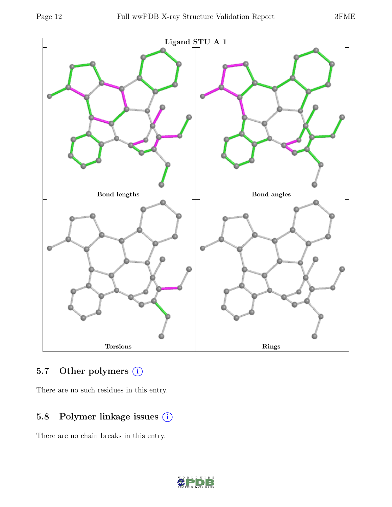

### 5.7 Other polymers (i)

There are no such residues in this entry.

### 5.8 Polymer linkage issues  $(i)$

There are no chain breaks in this entry.

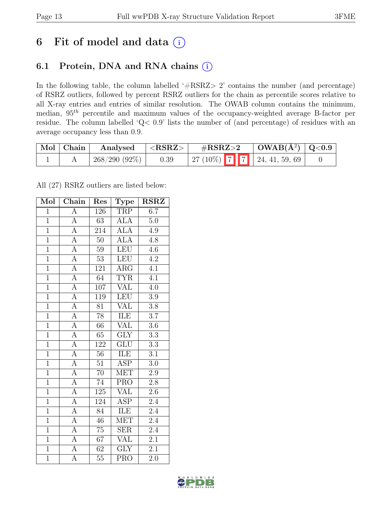### 6 Fit of model and data  $(i)$

### 6.1 Protein, DNA and RNA chains (i)

In the following table, the column labelled ' $\#\text{RSRZ}>2$ ' contains the number (and percentage) of RSRZ outliers, followed by percent RSRZ outliers for the chain as percentile scores relative to all X-ray entries and entries of similar resolution. The OWAB column contains the minimum, median, 95th percentile and maximum values of the occupancy-weighted average B-factor per residue. The column labelled 'Q< 0.9' lists the number of (and percentage) of residues with an average occupancy less than 0.9.

| Mol Chain | Analysed        | ${ <\hspace{-1.5pt}{\mathrm{RSRZ}} \hspace{-1.5pt}>}$ | $\#\text{RSRZ}\text{>2}$          |  | $\vert$ OWAB(Å <sup>2</sup> ) $\vert$ Q<0.9 |  |
|-----------|-----------------|-------------------------------------------------------|-----------------------------------|--|---------------------------------------------|--|
|           | $268/290(92\%)$ | 0.39                                                  | 27 (10%)   7   7   24, 41, 59, 69 |  |                                             |  |

All (27) RSRZ outliers are listed below:

| Mol            | Chain              | Res              | Type                    | <b>RSRZ</b>      |
|----------------|--------------------|------------------|-------------------------|------------------|
| $\overline{1}$ | $\overline{A}$     | $\overline{126}$ | <b>TRP</b>              | 6.7              |
| $\overline{1}$ | $\overline{A}$     | $\overline{63}$  | $\overline{\text{ALA}}$ | $5.0\,$          |
| $\mathbf{1}$   | $\overline{A}$     | 214              | <b>ALA</b>              | 4.9              |
| $\overline{1}$ | $\overline{A}$     | 50               | <b>ALA</b>              | 4.8              |
| $\overline{1}$ | $\overline{A}$     | $\overline{59}$  | LEU                     | $\overline{4.6}$ |
| $\overline{1}$ | $\overline{A}$     | $53\,$           | <b>LEU</b>              | $4.2\,$          |
| $\overline{1}$ | $\overline{A}$     | 121              | $\rm{ARG}$              | 4.1              |
| $\overline{1}$ | $\overline{A}$     | 64               | <b>TYR</b>              | $\overline{4.1}$ |
| $\overline{1}$ | $\overline{A}$     | 107              | <b>VAL</b>              | 4.0              |
| $\overline{1}$ | $\overline{A}$     | $\overline{119}$ | <b>LEU</b>              | $\overline{3.9}$ |
| $\overline{1}$ | $\overline{A}$     | $\overline{81}$  | VAL                     | $\overline{3.8}$ |
| $\overline{1}$ | $\overline{A}$     | $78\,$           | <b>ILE</b>              | $\overline{3.7}$ |
| $\overline{1}$ | $\overline{A}$     | 66               | <b>VAL</b>              | 3.6              |
| $\overline{1}$ | $\overline{\rm A}$ | 65               | $\overline{\text{GLY}}$ | $\overline{3.3}$ |
| $\overline{1}$ | $\overline{A}$     | 122              | GLU                     | $\overline{3.3}$ |
| $\overline{1}$ | $\overline{A}$     | 56               | ILE                     | $\overline{3.1}$ |
| $\overline{1}$ | $\overline{A}$     | $\overline{51}$  | $\overline{\text{ASP}}$ | $\overline{3.0}$ |
| $\overline{1}$ | $\overline{A}$     | 70               | <b>MET</b>              | $2.9\,$          |
| $\overline{1}$ | $\overline{A}$     | 74               | PRO                     | $2.8\,$          |
| $\overline{1}$ | $\overline{A}$     | 125              | <b>VAL</b>              | 2.6              |
| $\overline{1}$ | $\overline{A}$     | 124              | $A\overline{SP}$        | 2.4              |
| $\overline{1}$ | $\overline{A}$     | $\overline{84}$  | ILE                     | $\overline{2.4}$ |
| $\overline{1}$ | $\overline{A}$     | $46\,$           | <b>MET</b>              | 2.4              |
| $\overline{1}$ | $\overline{A}$     | $\overline{75}$  | $\overline{\text{SER}}$ | $\overline{2.4}$ |
| $\overline{1}$ | $\overline{A}$     | 67               | VAL                     | 2.1              |
| $\overline{1}$ | $\overline{A}$     | 62               | $\overline{\text{GLY}}$ | 2.1              |
| $\overline{1}$ | $\overline{A}$     | $\overline{55}$  | $\overline{\text{PRO}}$ | $\overline{2.0}$ |

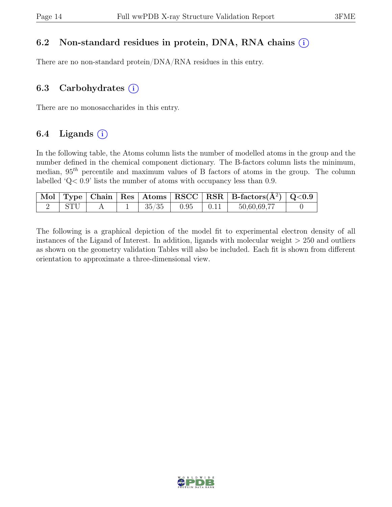#### 6.2 Non-standard residues in protein, DNA, RNA chains (i)

There are no non-standard protein/DNA/RNA residues in this entry.

#### 6.3 Carbohydrates  $(i)$

There are no monosaccharides in this entry.

#### 6.4 Ligands  $(i)$

In the following table, the Atoms column lists the number of modelled atoms in the group and the number defined in the chemical component dictionary. The B-factors column lists the minimum, median,  $95<sup>th</sup>$  percentile and maximum values of B factors of atoms in the group. The column labelled 'Q< 0.9' lists the number of atoms with occupancy less than 0.9.

|      |  |       |      |      | $\vert$ Mol $\vert$ Type $\vert$ Chain $\vert$ Res $\vert$ Atoms $\vert$ RSCC $\vert$ RSR $\vert$ B-factors( $A^2$ ) $\vert$ Q<0.9 |  |
|------|--|-------|------|------|------------------------------------------------------------------------------------------------------------------------------------|--|
| STI. |  | 35/35 | 0.95 | 0.11 | 50,60,69,77                                                                                                                        |  |

The following is a graphical depiction of the model fit to experimental electron density of all instances of the Ligand of Interest. In addition, ligands with molecular weight > 250 and outliers as shown on the geometry validation Tables will also be included. Each fit is shown from different orientation to approximate a three-dimensional view.